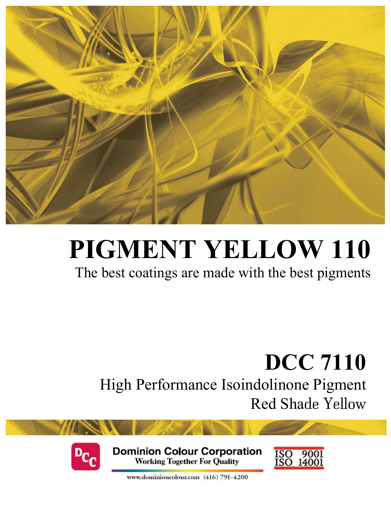

# **PIGMENT YELLOW 110**

## The best coatings are made with the best pigments

**DCC 7110**  High Performance Isoindolinone Pigment Red Shade Yellow



**Dominion Colour Corporation Working Together For Quality** 



www.dominioncolour.com (416) 791-4200